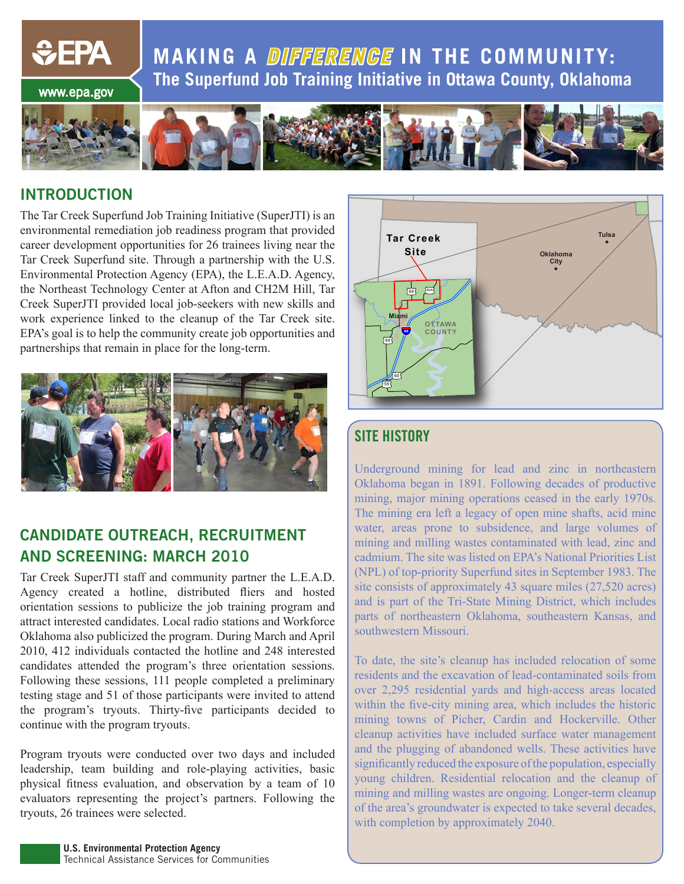**MAKING A DIFFERENGE IN THE COMMUNITY: The Superfund Job Training Initiative in Ottawa County, Oklahoma**

www.epa.gov

*<u>CHA</u>* 



#### **INTRODUCTION**

The Tar Creek Superfund Job Training Initiative (SuperJTI) is an environmental remediation job readiness program that provided career development opportunities for 26 trainees living near the Tar Creek Superfund site. Through a partnership with the U.S. Environmental Protection Agency (EPA), the L.E.A.D. Agency, the Northeast Technology Center at Afton and CH2M Hill, Tar Creek SuperJTI provided local job-seekers with new skills and work experience linked to the cleanup of the Tar Creek site. EPA's goal is to help the community create job opportunities and partnerships that remain in place for the long-term.



#### **CANDIDATE OUTREACH, RECRUITMENT AND SCREENING: MARCH 2010**

Tar Creek SuperJTI staff and community partner the L.E.A.D. Agency created a hotline, distributed fliers and hosted orientation sessions to publicize the job training program and attract interested candidates. Local radio stations and Workforce Oklahoma also publicized the program. During March and April 2010, 412 individuals contacted the hotline and 248 interested candidates attended the program's three orientation sessions. Following these sessions, 111 people completed a preliminary testing stage and 51 of those participants were invited to attend the program's tryouts. Thirty-five participants decided to continue with the program tryouts.

Program tryouts were conducted over two days and included leadership, team building and role-playing activities, basic physical fitness evaluation, and observation by a team of 10 evaluators representing the project's partners. Following the tryouts, 26 trainees were selected.



### **SITE HISTORY**

Underground mining for lead and zinc in northeastern Oklahoma began in 1891. Following decades of productive mining, major mining operations ceased in the early 1970s. The mining era left a legacy of open mine shafts, acid mine water, areas prone to subsidence, and large volumes of mining and milling wastes contaminated with lead, zinc and cadmium. The site was listed on EPA's National Priorities List (NPL) of top-priority Superfund sites in September 1983. The site consists of approximately 43 square miles (27,520 acres) and is part of the Tri-State Mining District, which includes parts of northeastern Oklahoma, southeastern Kansas, and southwestern Missouri.

To date, the site's cleanup has included relocation of some residents and the excavation of lead-contaminated soils from over 2,295 residential yards and high-access areas located within the five-city mining area, which includes the historic mining towns of Picher, Cardin and Hockerville. Other cleanup activities have included surface water management and the plugging of abandoned wells. These activities have significantly reduced the exposure of the population, especially young children. Residential relocation and the cleanup of mining and milling wastes are ongoing. Longer-term cleanup of the area's groundwater is expected to take several decades, with completion by approximately 2040.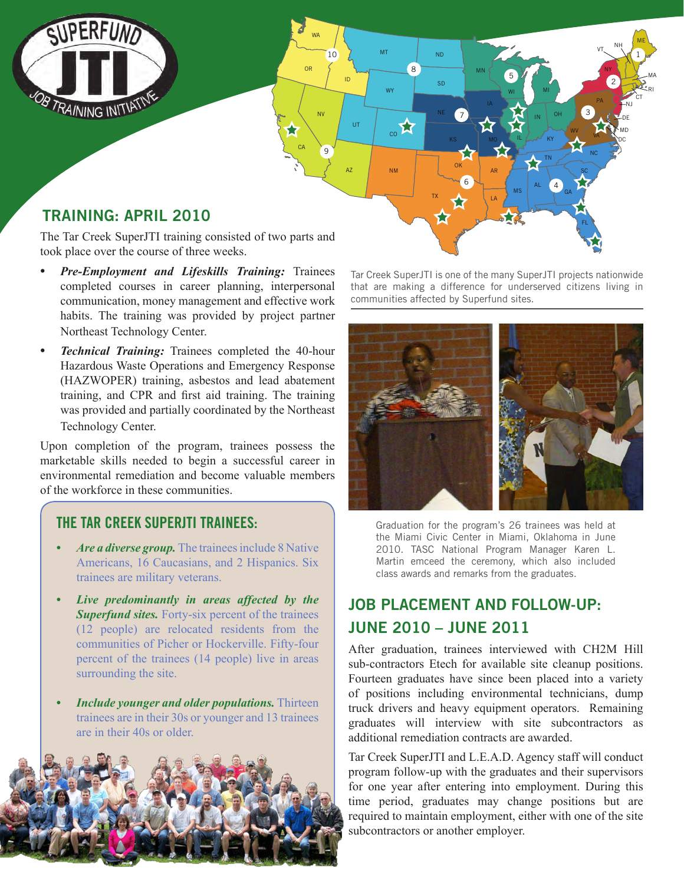

The Tar Creek SuperJTI training consisted of two parts and took place over the course of three weeks.

- *Pre-Employment and Lifeskills Training: Trainees* completed courses in career planning, interpersonal communication, money management and effective work habits. The training was provided by project partner Northeast Technology Center.
- *Technical Training:* Trainees completed the 40-hour Hazardous Waste Operations and Emergency Response (HAZWOPER) training, asbestos and lead abatement training, and CPR and first aid training. The training was provided and partially coordinated by the Northeast Technology Center.

Upon completion of the program, trainees possess the marketable skills needed to begin a successful career in environmental remediation and become valuable members of the workforce in these communities.

#### **THE TAR CREEK SUPERJTI TRAINEES:**

- *Are a diverse group.* The trainees include 8 Native Americans, 16 Caucasians, and 2 Hispanics. Six trainees are military veterans.
- *• Live predominantly in areas affected by the Superfund sites.* Forty-six percent of the trainees (12 people) are relocated residents from the communities of Picher or Hockerville. Fifty-four percent of the trainees (14 people) live in areas surrounding the site.
- *Include younger and older populations.* Thirteen trainees are in their 30s or younger and 13 trainees are in their 40s or older.



Tar Creek SuperJTI is one of the many SuperJTI projects nationwide that are making a difference for underserved citizens living in communities affected by Superfund sites.



Graduation for the program's 26 trainees was held at the Miami Civic Center in Miami, Oklahoma in June 2010. TASC National Program Manager Karen L. Martin emceed the ceremony, which also included class awards and remarks from the graduates.

## **JOB PLACEMENT AND FOLLOW-UP: JUNE 2010 – JUNE 2011**

After graduation, trainees interviewed with CH2M Hill sub-contractors Etech for available site cleanup positions. Fourteen graduates have since been placed into a variety of positions including environmental technicians, dump truck drivers and heavy equipment operators. Remaining graduates will interview with site subcontractors as additional remediation contracts are awarded.

Tar Creek SuperJTI and L.E.A.D. Agency staff will conduct program follow-up with the graduates and their supervisors for one year after entering into employment. During this time period, graduates may change positions but are required to maintain employment, either with one of the site subcontractors or another employer.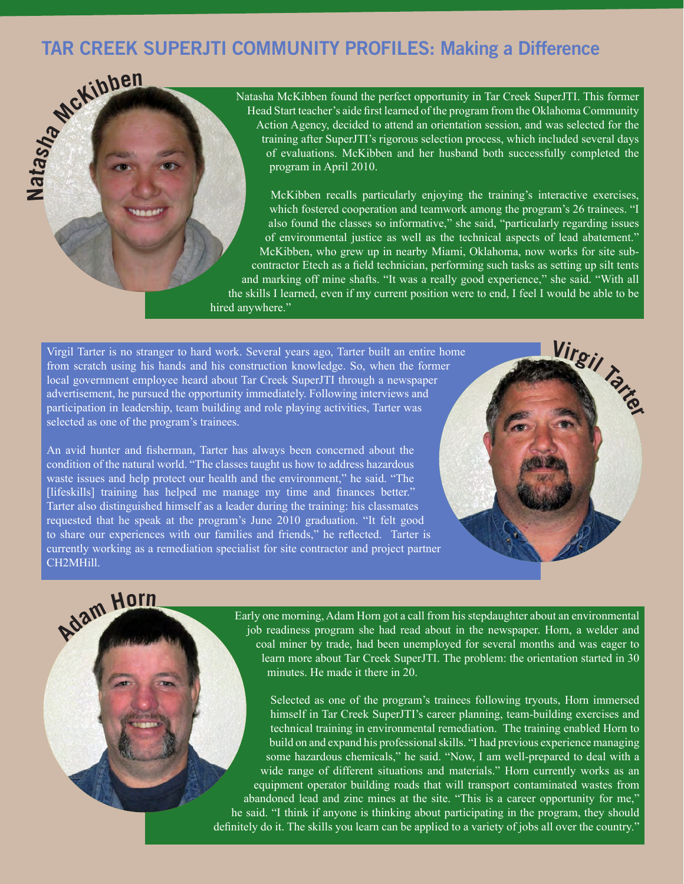# **TAR CREEK SUPERJTI COMMUNITY PROFILES: Making a Difference**



Natasha McKibben found the perfect opportunity in Tar Creek SuperJTI. This former Head Start teacher's aide first learned of the program from the Oklahoma Community Action Agency, decided to attend an orientation session, and was selected for the training after SuperJTI's rigorous selection process, which included several days of evaluations. McKibben and her husband both successfully completed the program in April 2010.

McKibben recalls particularly enjoying the training's interactive exercises, which fostered cooperation and teamwork among the program's 26 trainees. "I also found the classes so informative," she said, "particularly regarding issues of environmental justice as well as the technical aspects of lead abatement." McKibben, who grew up in nearby Miami, Oklahoma, now works for site subcontractor Etech as a field technician, performing such tasks as setting up silt tents and marking off mine shafts. "It was a really good experience," she said. "With all the skills I learned, even if my current position were to end, I feel I would be able to be hired anywhere."

**<sup>V</sup>irgi<sup>l</sup> <sup>T</sup>arte<sup>r</sup>**

Virgil Tarter is no stranger to hard work. Several years ago, Tarter built an entire home from scratch using his hands and his construction knowledge. So, when the former local government employee heard about Tar Creek SuperJTI through a newspaper advertisement, he pursued the opportunity immediately. Following interviews and participation in leadership, team building and role playing activities, Tarter was selected as one of the program's trainees.

An avid hunter and fisherman, Tarter has always been concerned about the condition of the natural world. "The classes taught us how to address hazardous waste issues and help protect our health and the environment," he said. "The [lifeskills] training has helped me manage my time and finances better." Tarter also distinguished himself as a leader during the training: his classmates requested that he speak at the program's June 2010 graduation. "It felt good to share our experiences with our families and friends," he reflected. Tarter is currently working as a remediation specialist for site contractor and project partner CH2MHill.

# **Ada<sup>m</sup> <sup>H</sup>or<sup>n</sup>**

Early one morning, Adam Horn got a call from his stepdaughter about an environmental job readiness program she had read about in the newspaper. Horn, a welder and coal miner by trade, had been unemployed for several months and was eager to learn more about Tar Creek SuperJTI. The problem: the orientation started in 30 minutes. He made it there in 20.

Selected as one of the program's trainees following tryouts, Horn immersed himself in Tar Creek SuperJTI's career planning, team-building exercises and technical training in environmental remediation. The training enabled Horn to build on and expand his professional skills. "I had previous experience managing some hazardous chemicals," he said. "Now, I am well-prepared to deal with a wide range of different situations and materials." Horn currently works as an equipment operator building roads that will transport contaminated wastes from abandoned lead and zinc mines at the site. "This is a career opportunity for me," he said. "I think if anyone is thinking about participating in the program, they should definitely do it. The skills you learn can be applied to a variety of jobs all over the country.'